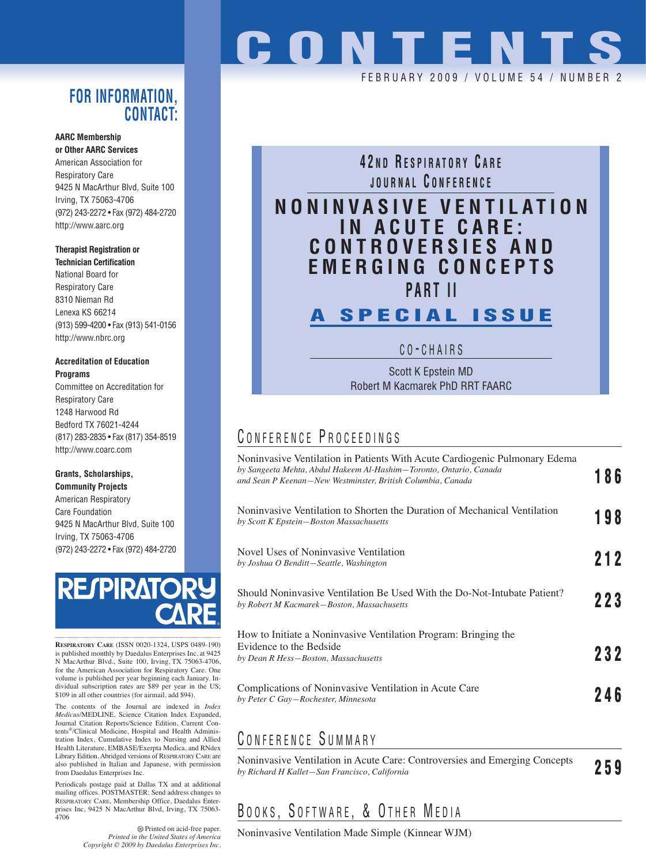#### **FOR INFORMATION, CONTACT:**

#### **AARC Membership or Other AARC Services**

American Association for Respiratory Care 9425 N MacArthur Blvd, Suite 100 Irving, TX 75063-4706 (972) 243-2272 • Fax (972) 484-2720 http://www.aarc.org

#### **Therapist Registration or Technician Certification**

National Board for Respiratory Care 8310 Nieman Rd Lenexa KS 66214 (913) 599-4200 • Fax (913) 541-0156 http://www.nbrc.org

#### **Accreditation of Education Programs**

Committee on Accreditation for Respiratory Care 1248 Harwood Rd Bedford TX 76021-4244 (817) 283-2835 • Fax (817) 354-8519 http://www.coarc.com

#### **Grants, Scholarships,**

**Community Projects** American Respiratory Care Foundation 9425 N MacArthur Blvd, Suite 100 Irving, TX 75063-4706 (972) 243-2272 • Fax (972) 484-2720



**RESPIRATORY CARE** (ISSN 0020-1324, USPS 0489-190) is published monthly by Daedalus Enterprises Inc, at 9425 N MacArthur Blvd., Suite 100, Irving, TX 75063-4706, for the American Association for Respiratory Care. One volume is published per year beginning each January. Individual subscription rates are \$89 per year in the US; \$109 in all other countries (for airmail, add \$94).

The contents of the Journal are indexed in *Index Medicus*/MEDLINE, Science Citation Index Expanded, Journal Citation Reports/Science Edition, Current Contents®/Clinical Medicine, Hospital and Health Administration Index, Cumulative Index to Nursing and Allied Health Literature, EMBASE/Exerpta Medica, and RNdex Library Edition. Abridged versions of RESPIRATORY CARE are also published in Italian and Japanese, with permission from Daedalus Enterprises Inc.

Periodicals postage paid at Dallas TX and at additional mailing offices. POSTMASTER: Send address changes to RESPIRATORY CARE, Membership Office, Daedalus Enterprises Inc, 9425 N MacArthur Blvd, Irving, TX 75063- 4706

> Printed on acid-free paper. *Printed in the United States of America Copyright © 2009 by Daedalus Enterprises Inc.*

# **CONTENTS**

FEBRUARY 2009 / VOLUME 54 / NUMBE

#### **4 2 N D R ESPIRATORY C ARE JOURNAL C ONFERENCE**

## **NONINVASIVE VENTILATION IN ACUTE CARE: CONTROVERSIES AND EMERGING CONCEPTS PART II**

## **A SPECIAL ISSUE**

C O - CHAIRS

Scott K Epstein MD Robert M Kacmarek PhD RRT FAARC

#### CONFERENCE PROCEEDINGS

| Noninvasive Ventilation in Patients With Acute Cardiogenic Pulmonary Edema<br>by Sangeeta Mehta, Abdul Hakeem Al-Hashim–Toronto, Ontario, Canada<br>and Sean P Keenan-New Westminster, British Columbia, Canada | 186 |
|-----------------------------------------------------------------------------------------------------------------------------------------------------------------------------------------------------------------|-----|
| Noninvasive Ventilation to Shorten the Duration of Mechanical Ventilation<br>by Scott K Epstein-Boston Massachusetts                                                                                            | 198 |
| Novel Uses of Noninvasive Ventilation<br>by Joshua O Benditt-Seattle, Washington                                                                                                                                | 212 |
| Should Noninvasive Ventilation Be Used With the Do-Not-Intubate Patient?<br>by Robert M Kacmarek-Boston, Massachusetts                                                                                          | 223 |
| How to Initiate a Noninvasive Ventilation Program: Bringing the<br>Evidence to the Bedside<br>by Dean R Hess-Boston, Massachusetts                                                                              | 232 |
| Complications of Noninvasive Ventilation in Acute Care<br>by Peter C Gay–Rochester, Minnesota                                                                                                                   | 246 |
|                                                                                                                                                                                                                 |     |

### C ONFERENCE S UMMARY

Noninvasive Ventilation in Acute Care: Controversies and Emerging Concepts *by Richard H Kallet—San Francisco, California* **259**

## BOOKS, SOFTWARE, & OTHER MEDIA

Noninvasive Ventilation Made Simple (Kinnear WJM)